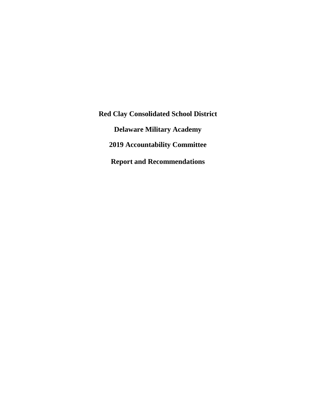**Red Clay Consolidated School District Delaware Military Academy 2019 Accountability Committee Report and Recommendations**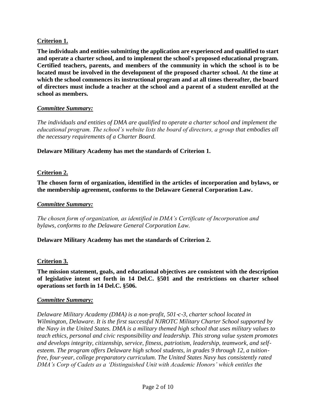## **Criterion 1.**

**The individuals and entities submitting the application are experienced and qualified to start and operate a charter school, and to implement the school's proposed educational program. Certified teachers, parents, and members of the community in which the school is to be located must be involved in the development of the proposed charter school. At the time at which the school commences its instructional program and at all times thereafter, the board of directors must include a teacher at the school and a parent of a student enrolled at the school as members.**

### *Committee Summary:*

*The individuals and entities of DMA are qualified to operate a charter school and implement the educational program. The school's website lists the board of directors, a group that embodies all the necessary requirements of a Charter Board.*

**Delaware Military Academy has met the standards of Criterion 1.**

## **Criterion 2.**

**The chosen form of organization, identified in the articles of incorporation and bylaws, or the membership agreement, conforms to the Delaware General Corporation Law.**

### *Committee Summary:*

*The chosen form of organization, as identified in DMA's Certificate of Incorporation and bylaws, conforms to the Delaware General Corporation Law.*

#### **Delaware Military Academy has met the standards of Criterion 2.**

## **Criterion 3.**

**The mission statement, goals, and educational objectives are consistent with the description of legislative intent set forth in 14 Del.C. §501 and the restrictions on charter school operations set forth in 14 Del.C. §506.**

#### *Committee Summary:*

*Delaware Military Academy (DMA) is a non*‐*profit, 501*‐*c*‐*3, charter school located in Wilmington, Delaware. It is the first successful NJROTC Military Charter School supported by the Navy in the United States. DMA is a military themed high school that uses military values to teach ethics, personal and civic responsibility and leadership. This strong value system promotes and develops integrity, citizenship, service, fitness, patriotism, leadership, teamwork, and self*‐ *esteem. The program offers Delaware high school students, in grades 9 through 12, a tuition free, four*‐*year, college preparatory curriculum. The United States Navy has consistently rated DMA's Corp of Cadets as a 'Distinguished Unit with Academic Honors' which entitles the*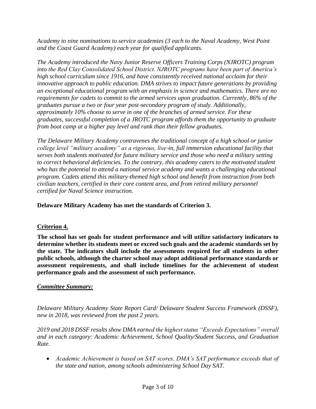*Academy to nine nominations to service academies (3 each to the Naval Academy, West Point and the Coast Guard Academy) each year for qualified applicants.*

*The Academy introduced the Navy Junior Reserve Officers Training Corps (NJROTC) program into the Red Clay Consolidated School District. NJROTC programs have been part of America's high school curriculum since 1916, and have consistently received national acclaim for their innovative approach to public education. DMA strives to impact future generations by providing an exceptional educational program with an emphasis in science and mathematics. There are no requirements for cadets to commit to the armed services upon graduation. Currently, 86% of the graduates pursue a two or four year post*‐*secondary program of study. Additionally, approximately 10% choose to serve in one of the branches of armed service. For these graduates, successful completion of a JROTC program affords them the opportunity to graduate from boot camp at a higher pay level and rank than their fellow graduates.* 

*The Delaware Military Academy contravenes the traditional concept of a high school or junior college level "military academy" as a rigorous, live*‐*in, full immersion educational facility that serves both students motivated for future military service and those who need a military setting to correct behavioral deficiencies. To the contrary, this academy caters to the motivated student who has the potential to attend a national service academy and wants a challenging educational program. Cadets attend this military*‐*themed high school and benefit from instruction from both civilian teachers, certified in their core content area, and from retired military personnel certified for Naval Science instruction.*

**Delaware Military Academy has met the standards of Criterion 3.**

# **Criterion 4.**

**The school has set goals for student performance and will utilize satisfactory indicators to determine whether its students meet or exceed such goals and the academic standards set by the state. The indicators shall include the assessments required for all students in other public schools, although the charter school may adopt additional performance standards or assessment requirements, and shall include timelines for the achievement of student performance goals and the assessment of such performance.**

# *Committee Summary:*

*Delaware Military Academy State Report Card/ Delaware Student Success Framework (DSSF), new in 2018, was reviewed from the past 2 years.* 

*2019 and 2018 DSSF results show DMA earned the highest status "Exceeds Expectations" overall and in each category: Academic Achievement, School Quality/Student Success, and Graduation Rate.* 

• Academic Achievement is based on SAT scores. DMA's SAT performance exceeds that of *the state and nation, among schools administering School Day SAT.*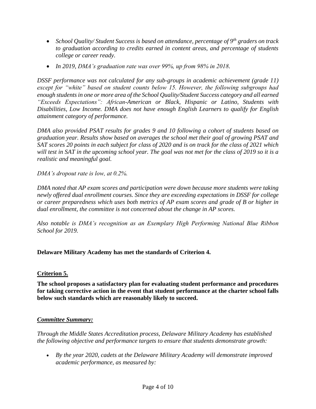- *School Quality/ Student Success is based on attendance, percentage of 9th graders on track to graduation according to credits earned in content areas, and percentage of students college or career ready.*
- *In 2019, DMA's graduation rate was over 99%, up from 98% in 2018.*

*DSSF performance was not calculated for any sub-groups in academic achievement (grade 11) except for "white" based on student counts below 15. However, the following subgroups had enough students in one or more area of the School Quality/Student Success category and all earned "Exceeds Expectations": African-American or Black, Hispanic or Latino, Students with Disabilities, Low Income. DMA does not have enough English Learners to qualify for English attainment category of performance.*

*DMA also provided PSAT results for grades 9 and 10 following a cohort of students based on graduation year. Results show based on averages the school met their goal of growing PSAT and SAT scores 20 points in each subject for class of 2020 and is on track for the class of 2021 which will test in SAT in the upcoming school year. The goal was not met for the class of 2019 so it is a realistic and meaningful goal.*

*DMA's dropout rate is low, at 0.2%.* 

*DMA noted that AP exam scores and participation were down because more students were taking newly offered dual enrollment courses. Since they are exceeding expectations in DSSF for college or career preparedness which uses both metrics of AP exam scores and grade of B or higher in dual enrollment, the committee is not concerned about the change in AP scores.* 

*Also notable is DMA's recognition as an Exemplary High Performing National Blue Ribbon School for 2019.* 

## **Delaware Military Academy has met the standards of Criterion 4.**

## **Criterion 5.**

**The school proposes a satisfactory plan for evaluating student performance and procedures for taking corrective action in the event that student performance at the charter school falls below such standards which are reasonably likely to succeed.**

## *Committee Summary:*

*Through the Middle States Accreditation process, Delaware Military Academy has established the following objective and performance targets to ensure that students demonstrate growth:*

 *By the year 2020, cadets at the Delaware Military Academy will demonstrate improved academic performance, as measured by:*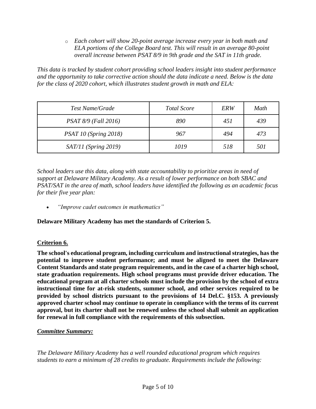o *Each cohort will show 20-point average increase every year in both math and ELA portions of the College Board test. This will result in an average 80-point overall increase between PSAT 8/9 in 9th grade and the SAT in 11th grade.*

*This data is tracked by student cohort providing school leaders insight into student performance and the opportunity to take corrective action should the data indicate a need. Below is the data for the class of 2020 cohort, which illustrates student growth in math and ELA:*

| Test Name/Grade        | <b>Total Score</b> | ERW | Math |
|------------------------|--------------------|-----|------|
| PSAT 8/9 (Fall 2016)   | 890                | 451 | 439  |
| PSAT 10 (Spring 2018)  | 967                | 494 | 473  |
| $SAT/11$ (Spring 2019) | 1019               | 518 | 501  |

*School leaders use this data, along with state accountability to prioritize areas in need of support at Delaware Military Academy. As a result of lower performance on both SBAC and PSAT/SAT in the area of math, school leaders have identified the following as an academic focus for their five year plan:*

*"Improve cadet outcomes in mathematics"*

**Delaware Military Academy has met the standards of Criterion 5.**

# **Criterion 6.**

**The school's educational program, including curriculum and instructional strategies, has the potential to improve student performance; and must be aligned to meet the Delaware Content Standards and state program requirements, and in the case of a charter high school, state graduation requirements. High school programs must provide driver education. The educational program at all charter schools must include the provision by the school of extra instructional time for at-risk students, summer school, and other services required to be provided by school districts pursuant to the provisions of 14 Del.C. §153. A previously approved charter school may continue to operate in compliance with the terms of its current approval, but its charter shall not be renewed unless the school shall submit an application for renewal in full compliance with the requirements of this subsection.**

# *Committee Summary:*

*The Delaware Military Academy has a well rounded educational program which requires students to earn a minimum of 28 credits to graduate. Requirements include the following:*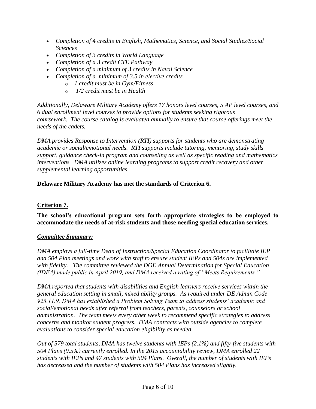- *Completion of 4 credits in English, Mathematics, Science, and Social Studies/Social Sciences*
- *Completion of 3 credits in World Language*
- *Completion of a 3 credit CTE Pathway*
- *Completion of a minimum of 3 credits in Naval Science*
- *Completion of a minimum of 3.5 in elective credits*
	- o *1 credit must be in Gym/Fitness*
	- o *1/2 credit must be in Health*

*Additionally, Delaware Military Academy offers 17 honors level courses, 5 AP level courses, and 6 dual enrollment level courses to provide options for students seeking rigorous coursework. The course catalog is evaluated annually to ensure that course offerings meet the needs of the cadets.* 

*DMA provides Response to Intervention (RTI) supports for students who are demonstrating academic or social/emotional needs. RTI supports include tutoring, mentoring, study skills support, guidance check-in program and counseling as well as specific reading and mathematics interventions. DMA utilizes online learning programs to support credit recovery and other supplemental learning opportunities.*

# **Delaware Military Academy has met the standards of Criterion 6.**

# **Criterion 7.**

**The school's educational program sets forth appropriate strategies to be employed to accommodate the needs of at-risk students and those needing special education services.**

# *Committee Summary:*

*DMA employs a full-time Dean of Instruction/Special Education Coordinator to facilitate IEP and 504 Plan meetings and work with staff to ensure student IEPs and 504s are implemented with fidelity. The committee reviewed the DOE Annual Determination for Special Education (IDEA) made public in April 2019, and DMA received a rating of "Meets Requirements."*

*DMA reported that students with disabilities and English learners receive services within the general education setting in small, mixed ability groups. As required under DE Admin Code 923.11.9, DMA has established a Problem Solving Team to address students' academic and social/emotional needs after referral from teachers, parents, counselors or school administration. The team meets every other week to recommend specific strategies to address concerns and monitor student progress. DMA contracts with outside agencies to complete evaluations to consider special education eligibility as needed.* 

*Out of 579 total students, DMA has twelve students with IEPs (2.1%) and fifty-five students with 504 Plans (9.5%) currently enrolled. In the 2015 accountability review, DMA enrolled 22 students with IEPs and 47 students with 504 Plans. Overall, the number of students with IEPs has decreased and the number of students with 504 Plans has increased slightly.*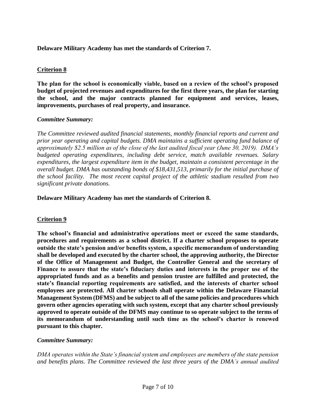**Delaware Military Academy has met the standards of Criterion 7.**

## **Criterion 8**

**The plan for the school is economically viable, based on a review of the school's proposed budget of projected revenues and expenditures for the first three years, the plan for starting the school, and the major contracts planned for equipment and services, leases, improvements, purchases of real property, and insurance.** 

## *Committee Summary:*

*The Committee reviewed audited financial statements, monthly financial reports and current and prior year operating and capital budgets. DMA maintains a sufficient operating fund balance of approximately \$2.5 million as of the close of the last audited fiscal year (June 30, 2019). DMA's budgeted operating expenditures, including debt service, match available revenues. Salary expenditures, the largest expenditure item in the budget, maintain a consistent percentage in the overall budget. DMA has outstanding bonds of \$18,431,513, primarily for the initial purchase of the school facility. The most recent capital project of the athletic stadium resulted from two significant private donations.* 

**Delaware Military Academy has met the standards of Criterion 8.**

# **Criterion 9**

**The school's financial and administrative operations meet or exceed the same standards, procedures and requirements as a school district. If a charter school proposes to operate outside the state's pension and/or benefits system, a specific memorandum of understanding shall be developed and executed by the charter school, the approving authority, the Director of the Office of Management and Budget, the Controller General and the secretary of Finance to assure that the state's fiduciary duties and interests in the proper use of the appropriated funds and as a benefits and pension trustee are fulfilled and protected, the state's financial reporting requirements are satisfied, and the interests of charter school employees are protected. All charter schools shall operate within the Delaware Financial Management System (DFMS) and be subject to all of the same policies and procedures which govern other agencies operating with such system, except that any charter school previously approved to operate outside of the DFMS may continue to so operate subject to the terms of its memorandum of understanding until such time as the school's charter is renewed pursuant to this chapter.** 

## *Committee Summary:*

*DMA operates within the State's financial system and employees are members of the state pension and benefits plans. The Committee reviewed the last three years of the DMA's annual audited*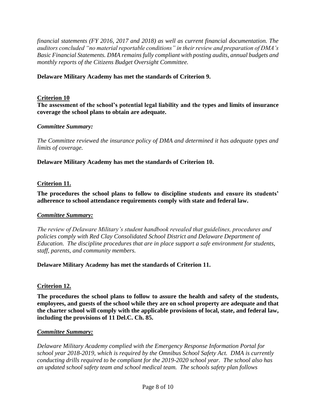*financial statements (FY 2016, 2017 and 2018) as well as current financial documentation. The auditors concluded "no material reportable conditions" in their review and preparation of DMA's Basic Financial Statements. DMA remains fully compliant with posting audits, annual budgets and monthly reports of the Citizens Budget Oversight Committee.* 

### **Delaware Military Academy has met the standards of Criterion 9.**

### **Criterion 10**

**The assessment of the school's potential legal liability and the types and limits of insurance coverage the school plans to obtain are adequate.** 

#### *Committee Summary:*

*The Committee reviewed the insurance policy of DMA and determined it has adequate types and limits of coverage.* 

**Delaware Military Academy has met the standards of Criterion 10.**

### **Criterion 11.**

**The procedures the school plans to follow to discipline students and ensure its students' adherence to school attendance requirements comply with state and federal law.**

#### *Committee Summary:*

*The review of Delaware Military's student handbook revealed that guidelines, procedures and policies comply with Red Clay Consolidated School District and Delaware Department of Education. The discipline procedures that are in place support a safe environment for students, staff, parents, and community members.* 

#### **Delaware Military Academy has met the standards of Criterion 11.**

#### **Criterion 12.**

**The procedures the school plans to follow to assure the health and safety of the students, employees, and guests of the school while they are on school property are adequate and that the charter school will comply with the applicable provisions of local, state, and federal law, including the provisions of 11 Del.C. Ch. 85.**

#### *Committee Summary:*

*Delaware Military Academy complied with the Emergency Response Information Portal for school year 2018-2019, which is required by the Omnibus School Safety Act. DMA is currently conducting drills required to be compliant for the 2019-2020 school year. The school also has an updated school safety team and school medical team. The schools safety plan follows*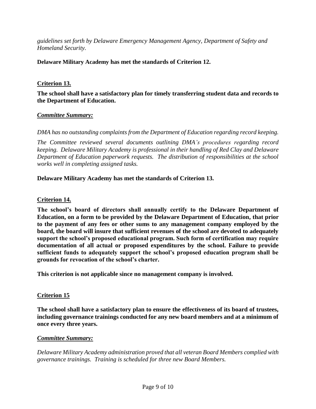*guidelines set forth by Delaware Emergency Management Agency, Department of Safety and Homeland Security.*

### **Delaware Military Academy has met the standards of Criterion 12.**

### **Criterion 13.**

**The school shall have a satisfactory plan for timely transferring student data and records to the Department of Education.**

#### *Committee Summary:*

*DMA has no outstanding complaints from the Department of Education regarding record keeping.*

*The Committee reviewed several documents outlining DMA's procedures regarding record keeping. Delaware Military Academy is professional in their handling of Red Clay and Delaware Department of Education paperwork requests. The distribution of responsibilities at the school works well in completing assigned tasks.*

#### **Delaware Military Academy has met the standards of Criterion 13.**

#### **Criterion 14.**

**The school's board of directors shall annually certify to the Delaware Department of Education, on a form to be provided by the Delaware Department of Education, that prior to the payment of any fees or other sums to any management company employed by the board, the board will insure that sufficient revenues of the school are devoted to adequately support the school's proposed educational program. Such form of certification may require documentation of all actual or proposed expenditures by the school. Failure to provide sufficient funds to adequately support the school's proposed education program shall be grounds for revocation of the school's charter.**

**This criterion is not applicable since no management company is involved.**

#### **Criterion 15**

**The school shall have a satisfactory plan to ensure the effectiveness of its board of trustees, including governance trainings conducted for any new board members and at a minimum of once every three years.**

#### *Committee Summary:*

*Delaware Military Academy administration proved that all veteran Board Members complied with governance trainings. Training is scheduled for three new Board Members.*